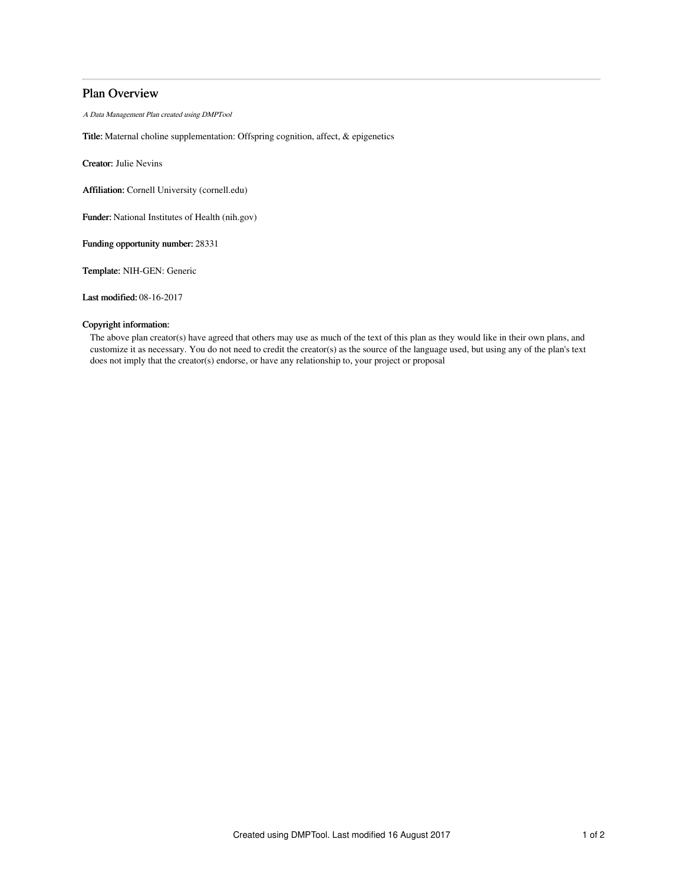## Plan Overview

A Data Management Plan created using DMPTool

Title: Maternal choline supplementation: Offspring cognition, affect, & epigenetics

Creator: Julie Nevins

Affiliation: Cornell University (cornell.edu)

Funder: National Institutes of Health (nih.gov)

Funding opportunity number: 28331

Template: NIH-GEN: Generic

Last modified: 08-16-2017

## Copyright information:

The above plan creator(s) have agreed that others may use as much of the text of this plan as they would like in their own plans, and customize it as necessary. You do not need to credit the creator(s) as the source of the language used, but using any of the plan's text does not imply that the creator(s) endorse, or have any relationship to, your project or proposal